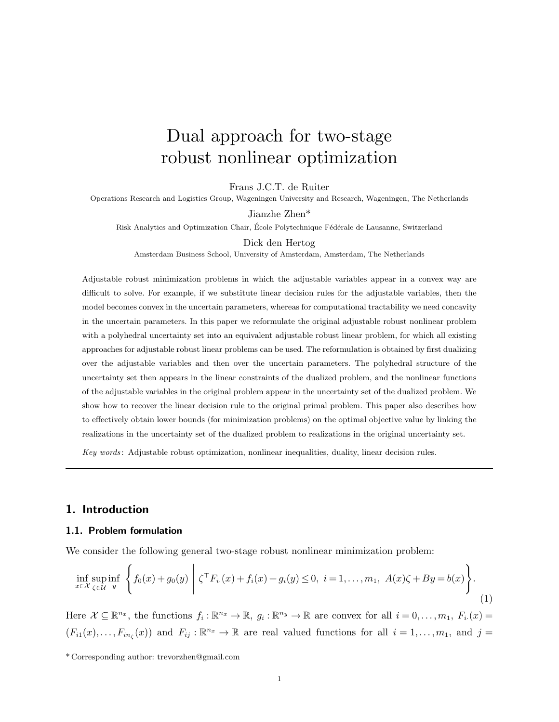# Dual approach for two-stage robust nonlinear optimization

Frans J.C.T. de Ruiter

Operations Research and Logistics Group, Wageningen University and Research, Wageningen, The Netherlands

Jianzhe Zhen\*

Risk Analytics and Optimization Chair, École Polytechnique Fédérale de Lausanne, Switzerland

Dick den Hertog

Amsterdam Business School, University of Amsterdam, Amsterdam, The Netherlands

Adjustable robust minimization problems in which the adjustable variables appear in a convex way are difficult to solve. For example, if we substitute linear decision rules for the adjustable variables, then the model becomes convex in the uncertain parameters, whereas for computational tractability we need concavity in the uncertain parameters. In this paper we reformulate the original adjustable robust nonlinear problem with a polyhedral uncertainty set into an equivalent adjustable robust linear problem, for which all existing approaches for adjustable robust linear problems can be used. The reformulation is obtained by first dualizing over the adjustable variables and then over the uncertain parameters. The polyhedral structure of the uncertainty set then appears in the linear constraints of the dualized problem, and the nonlinear functions of the adjustable variables in the original problem appear in the uncertainty set of the dualized problem. We show how to recover the linear decision rule to the original primal problem. This paper also describes how to effectively obtain lower bounds (for minimization problems) on the optimal objective value by linking the realizations in the uncertainty set of the dualized problem to realizations in the original uncertainty set.

Key words : Adjustable robust optimization, nonlinear inequalities, duality, linear decision rules.

# 1. Introduction

## 1.1. Problem formulation

We consider the following general two-stage robust nonlinear minimization problem:

$$
\inf_{x \in \mathcal{X}} \sup_{\zeta \in \mathcal{U}} \inf_{y} \left\{ f_0(x) + g_0(y) \middle| \zeta^{\top} F_{i\cdot}(x) + f_i(x) + g_i(y) \le 0, \ i = 1, \dots, m_1, \ A(x)\zeta + By = b(x) \right\}.
$$
\n(1)

Here  $\mathcal{X} \subseteq \mathbb{R}^{n_x}$ , the functions  $f_i : \mathbb{R}^{n_x} \to \mathbb{R}$ ,  $g_i : \mathbb{R}^{n_y} \to \mathbb{R}$  are convex for all  $i = 0, \ldots, m_1$ ,  $F_i(x) =$  $(F_{i1}(x),...,F_{in_{\zeta}}(x))$  and  $F_{ij}:\mathbb{R}^{n_x}\to\mathbb{R}$  are real valued functions for all  $i=1,...,m_1$ , and  $j=$ 

<sup>\*</sup> Corresponding author: trevorzhen@gmail.com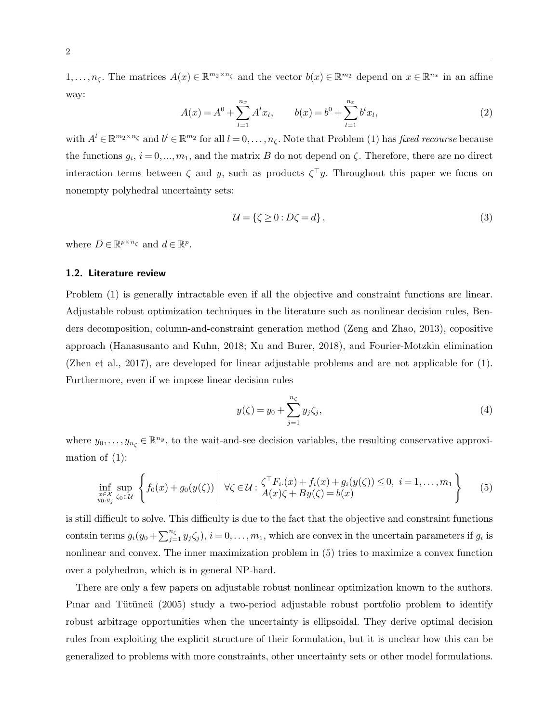$1,\ldots,n_{\zeta}$ . The matrices  $A(x) \in \mathbb{R}^{m_2 \times n_{\zeta}}$  and the vector  $b(x) \in \mathbb{R}^{m_2}$  depend on  $x \in \mathbb{R}^{n_x}$  in an affine way:

$$
A(x) = A^{0} + \sum_{l=1}^{n_{x}} A^{l} x_{l}, \qquad b(x) = b^{0} + \sum_{l=1}^{n_{x}} b^{l} x_{l}, \qquad (2)
$$

with  $A^l \in \mathbb{R}^{m_2 \times n_\zeta}$  and  $b^l \in \mathbb{R}^{m_2}$  for all  $l = 0, \ldots, n_\zeta$ . Note that Problem (1) has *fixed recourse* because the functions  $g_i$ ,  $i = 0, ..., m_1$ , and the matrix B do not depend on  $\zeta$ . Therefore, there are no direct interaction terms between  $\zeta$  and y, such as products  $\zeta^{\top}y$ . Throughout this paper we focus on nonempty polyhedral uncertainty sets:

$$
\mathcal{U} = \{ \zeta \ge 0 : D\zeta = d \},\tag{3}
$$

where  $D \in \mathbb{R}^{p \times n_{\zeta}}$  and  $d \in \mathbb{R}^p$ .

## 1.2. Literature review

Problem (1) is generally intractable even if all the objective and constraint functions are linear. Adjustable robust optimization techniques in the literature such as nonlinear decision rules, Benders decomposition, column-and-constraint generation method (Zeng and Zhao, 2013), copositive approach (Hanasusanto and Kuhn, 2018; Xu and Burer, 2018), and Fourier-Motzkin elimination (Zhen et al., 2017), are developed for linear adjustable problems and are not applicable for (1). Furthermore, even if we impose linear decision rules

$$
y(\zeta) = y_0 + \sum_{j=1}^{n_{\zeta}} y_j \zeta_j,
$$
\n(4)

where  $y_0, \ldots, y_{n_\zeta} \in \mathbb{R}^{n_y}$ , to the wait-and-see decision variables, the resulting conservative approximation of  $(1)$ :

$$
\inf_{\substack{x \in \mathcal{X} \\ y_0, y_j}} \sup_{\zeta_0 \in \mathcal{U}} \left\{ f_0(x) + g_0(y(\zeta)) \middle| \forall \zeta \in \mathcal{U} : \frac{\zeta^{\top} F_{i\cdot}(x) + f_i(x) + g_i(y(\zeta)) \le 0, \ i = 1, ..., m_1}{A(x)\zeta + By(\zeta) = b(x)} \right\}
$$
(5)

is still difficult to solve. This difficulty is due to the fact that the objective and constraint functions contain terms  $g_i(y_0 + \sum_{j=1}^{n_{\zeta}} y_j \zeta_j), i = 0, \ldots, m_1$ , which are convex in the uncertain parameters if  $g_i$  is nonlinear and convex. The inner maximization problem in (5) tries to maximize a convex function over a polyhedron, which is in general NP-hard.

There are only a few papers on adjustable robust nonlinear optimization known to the authors. Pinar and Tütüncü (2005) study a two-period adjustable robust portfolio problem to identify robust arbitrage opportunities when the uncertainty is ellipsoidal. They derive optimal decision rules from exploiting the explicit structure of their formulation, but it is unclear how this can be generalized to problems with more constraints, other uncertainty sets or other model formulations.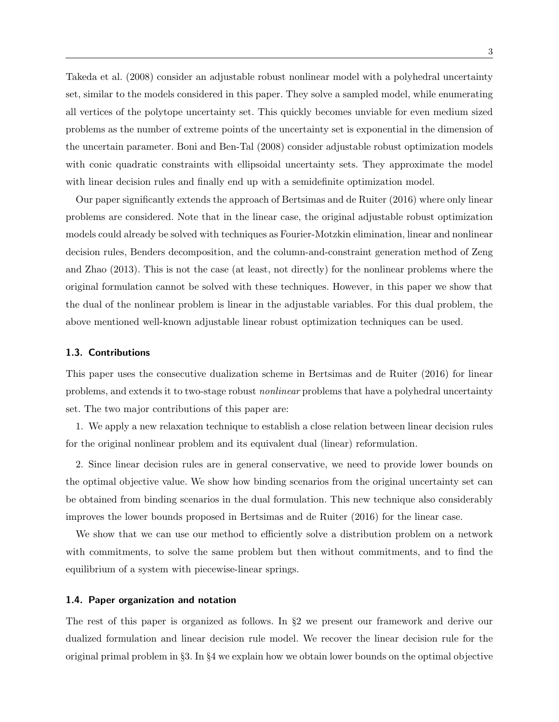Takeda et al. (2008) consider an adjustable robust nonlinear model with a polyhedral uncertainty set, similar to the models considered in this paper. They solve a sampled model, while enumerating all vertices of the polytope uncertainty set. This quickly becomes unviable for even medium sized problems as the number of extreme points of the uncertainty set is exponential in the dimension of the uncertain parameter. Boni and Ben-Tal (2008) consider adjustable robust optimization models with conic quadratic constraints with ellipsoidal uncertainty sets. They approximate the model with linear decision rules and finally end up with a semidefinite optimization model.

Our paper significantly extends the approach of Bertsimas and de Ruiter (2016) where only linear problems are considered. Note that in the linear case, the original adjustable robust optimization models could already be solved with techniques as Fourier-Motzkin elimination, linear and nonlinear decision rules, Benders decomposition, and the column-and-constraint generation method of Zeng and Zhao (2013). This is not the case (at least, not directly) for the nonlinear problems where the original formulation cannot be solved with these techniques. However, in this paper we show that the dual of the nonlinear problem is linear in the adjustable variables. For this dual problem, the above mentioned well-known adjustable linear robust optimization techniques can be used.

### 1.3. Contributions

This paper uses the consecutive dualization scheme in Bertsimas and de Ruiter (2016) for linear problems, and extends it to two-stage robust nonlinear problems that have a polyhedral uncertainty set. The two major contributions of this paper are:

1. We apply a new relaxation technique to establish a close relation between linear decision rules for the original nonlinear problem and its equivalent dual (linear) reformulation.

2. Since linear decision rules are in general conservative, we need to provide lower bounds on the optimal objective value. We show how binding scenarios from the original uncertainty set can be obtained from binding scenarios in the dual formulation. This new technique also considerably improves the lower bounds proposed in Bertsimas and de Ruiter (2016) for the linear case.

We show that we can use our method to efficiently solve a distribution problem on a network with commitments, to solve the same problem but then without commitments, and to find the equilibrium of a system with piecewise-linear springs.

#### 1.4. Paper organization and notation

The rest of this paper is organized as follows. In §2 we present our framework and derive our dualized formulation and linear decision rule model. We recover the linear decision rule for the original primal problem in §3. In §4 we explain how we obtain lower bounds on the optimal objective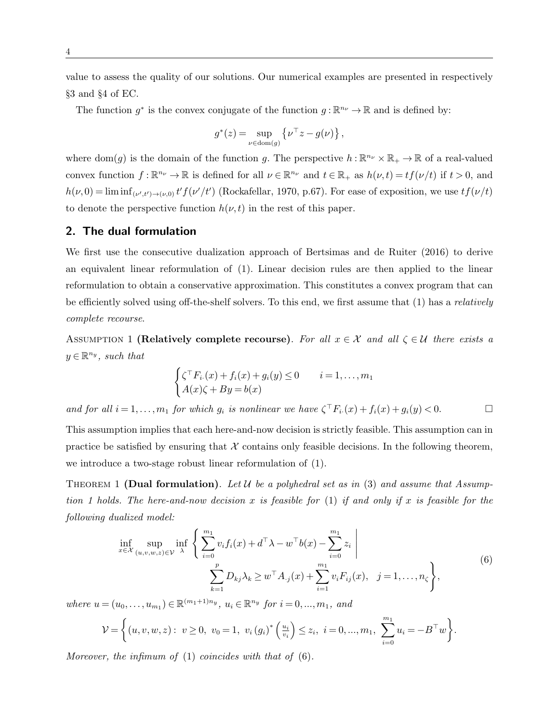value to assess the quality of our solutions. Our numerical examples are presented in respectively §3 and §4 of EC.

The function  $g^*$  is the convex conjugate of the function  $g: \mathbb{R}^{n_{\nu}} \to \mathbb{R}$  and is defined by:

$$
g^*(z) = \sup_{\nu \in \text{dom}(g)} \left\{ \nu^\top z - g(\nu) \right\},\,
$$

where dom(g) is the domain of the function g. The perspective  $h : \mathbb{R}^{n_{\nu}} \times \mathbb{R}_{+} \to \mathbb{R}$  of a real-valued convex function  $f: \mathbb{R}^{n_{\nu}} \to \mathbb{R}$  is defined for all  $\nu \in \mathbb{R}^{n_{\nu}}$  and  $t \in \mathbb{R}_+$  as  $h(\nu, t) = tf(\nu/t)$  if  $t > 0$ , and  $h(\nu,0) = \liminf_{(\nu',t') \to (\nu,0)} t' f(\nu'/t')$  (Rockafellar, 1970, p.67). For ease of exposition, we use  $tf(\nu/t)$ to denote the perspective function  $h(\nu, t)$  in the rest of this paper.

# 2. The dual formulation

We first use the consecutive dualization approach of Bertsimas and de Ruiter (2016) to derive an equivalent linear reformulation of (1). Linear decision rules are then applied to the linear reformulation to obtain a conservative approximation. This constitutes a convex program that can be efficiently solved using off-the-shelf solvers. To this end, we first assume that (1) has a relatively complete recourse.

ASSUMPTION 1 (Relatively complete recourse). For all  $x \in \mathcal{X}$  and all  $\zeta \in \mathcal{U}$  there exists a  $y \in \mathbb{R}^{n_y}$ , such that

$$
\begin{cases} \zeta^\top F_{i\cdot}(x) + f_i(x) + g_i(y) \le 0 & i = 1, \dots, m_1 \\ A(x)\zeta + By = b(x) \end{cases}
$$

and for all  $i = 1, ..., m_1$  for which  $g_i$  is nonlinear we have  $\zeta^\top F_{i.}(x) + f_i(x) + g_i(y) < 0.$ 

This assumption implies that each here-and-now decision is strictly feasible. This assumption can in practice be satisfied by ensuring that  $\mathcal X$  contains only feasible decisions. In the following theorem, we introduce a two-stage robust linear reformulation of (1).

THEOREM 1 (Dual formulation). Let U be a polyhedral set as in (3) and assume that Assumption 1 holds. The here-and-now decision x is feasible for  $(1)$  if and only if x is feasible for the following dualized model:

$$
\inf_{x \in \mathcal{X}} \sup_{(u,v,w,z) \in \mathcal{V}} \inf_{\lambda} \left\{ \sum_{i=0}^{m_1} v_i f_i(x) + d^\top \lambda - w^\top b(x) - \sum_{i=0}^{m_1} z_i \right\} \n\sum_{k=1}^p D_{kj} \lambda_k \ge w^\top A_{\cdot j}(x) + \sum_{i=1}^{m_1} v_i F_{ij}(x), \quad j = 1, \dots, n_\zeta \right\},
$$
\n(6)

where  $u = (u_0, ..., u_{m_1}) \in \mathbb{R}^{(m_1+1)n_y}, u_i \in \mathbb{R}^{n_y}$  for  $i = 0, ..., m_1,$  and

$$
\mathcal{V} = \left\{ (u, v, w, z) : v \ge 0, v_0 = 1, v_i (g_i)^* \left( \frac{u_i}{v_i} \right) \le z_i, i = 0, ..., m_1, \sum_{i=0}^{m_1} u_i = -B^{\top} w \right\}.
$$

Moreover, the infimum of  $(1)$  coincides with that of  $(6)$ .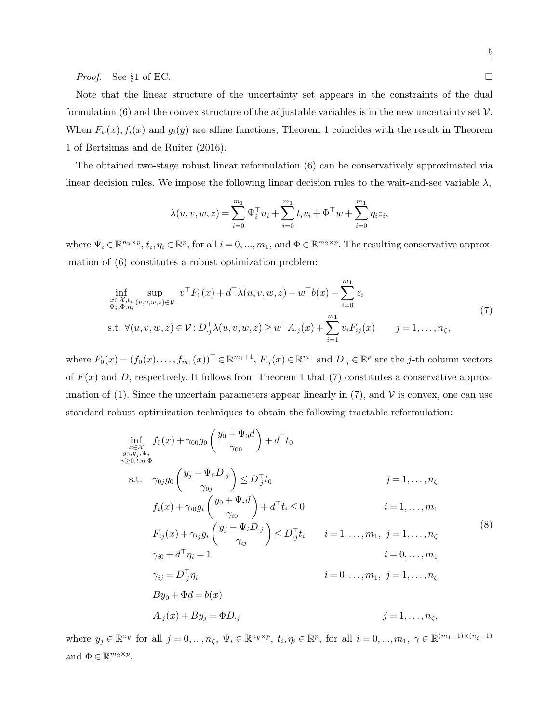*Proof.* See §1 of EC.

Note that the linear structure of the uncertainty set appears in the constraints of the dual formulation (6) and the convex structure of the adjustable variables is in the new uncertainty set  $\mathcal{V}$ . When  $F_i(x)$ ,  $f_i(x)$  and  $g_i(y)$  are affine functions, Theorem 1 coincides with the result in Theorem 1 of Bertsimas and de Ruiter (2016).

The obtained two-stage robust linear reformulation (6) can be conservatively approximated via linear decision rules. We impose the following linear decision rules to the wait-and-see variable  $\lambda$ ,

$$
\lambda(u, v, w, z) = \sum_{i=0}^{m_1} \Psi_i^{\top} u_i + \sum_{i=0}^{m_1} t_i v_i + \Phi^{\top} w + \sum_{i=0}^{m_1} \eta_i z_i,
$$

where  $\Psi_i \in \mathbb{R}^{n_y \times p}$ ,  $t_i, \eta_i \in \mathbb{R}^p$ , for all  $i = 0, ..., m_1$ , and  $\Phi \in \mathbb{R}^{m_2 \times p}$ . The resulting conservative approximation of (6) constitutes a robust optimization problem:

$$
\inf_{\substack{x \in \mathcal{X}, t_i \\ \Psi_i, \Phi, \eta_i}} \sup_{(u, v, w, z) \in \mathcal{V}} v^\top F_0(x) + d^\top \lambda(u, v, w, z) - w^\top b(x) - \sum_{i=0}^{m_1} z_i
$$
\n
$$
\text{s.t. } \forall (u, v, w, z) \in \mathcal{V} : D^\top_{\cdot j} \lambda(u, v, w, z) \ge w^\top A_{\cdot j}(x) + \sum_{i=1}^{m_1} v_i F_{ij}(x) \qquad j = 1, \dots, n_\zeta,
$$
\n
$$
(7)
$$

where  $F_0(x) = (f_0(x), \ldots, f_{m_1}(x))^{\top} \in \mathbb{R}^{m_1+1}, F_{\cdot j}(x) \in \mathbb{R}^{m_1}$  and  $D_{\cdot j} \in \mathbb{R}^p$  are the *j*-th column vectors of  $F(x)$  and D, respectively. It follows from Theorem 1 that (7) constitutes a conservative approximation of (1). Since the uncertain parameters appear linearly in (7), and  $\mathcal V$  is convex, one can use standard robust optimization techniques to obtain the following tractable reformulation:

$$
\inf_{\substack{x \in \mathcal{X} \\ y_0, y_j, \Psi_i \\ \gamma \ge 0, t, \eta, \Phi}} f_0(x) + \gamma_{00} g_0 \left( \frac{y_0 + \Psi_0 d}{\gamma_{00}} \right) + d^\top t_0
$$
\n
$$
\text{s.t. } \gamma_{0j} g_0 \left( \frac{y_j - \Psi_0 D_{\cdot j}}{\gamma_{0j}} \right) \le D_{\cdot j}^\top t_0 \qquad j = 1, \dots, n_\zeta
$$
\n
$$
f_i(x) + \gamma_{i0} g_i \left( \frac{y_0 + \Psi_i d}{\gamma_{i0}} \right) + d^\top t_i \le 0 \qquad i = 1, \dots, m_1
$$
\n
$$
F_{ij}(x) + \gamma_{ij} g_i \left( \frac{y_j - \Psi_i D_{\cdot j}}{\gamma_{ij}} \right) \le D_{\cdot j}^\top t_i \qquad i = 1, \dots, m_1, j = 1, \dots, n_\zeta
$$
\n
$$
\gamma_{i0} + d^\top \eta_i = 1 \qquad i = 0, \dots, m_1
$$
\n
$$
\gamma_{ij} = D_{\cdot j}^\top \eta_i \qquad i = 0, \dots, m_1, j = 1, \dots, n_\zeta
$$
\n
$$
By_0 + \Phi d = b(x)
$$
\n
$$
A_{\cdot j}(x) + By_j = \Phi D_{\cdot j} \qquad j = 1, \dots, n_\zeta,
$$
\n(8)

where  $y_j \in \mathbb{R}^{n_y}$  for all  $j = 0, ..., n_\zeta, \Psi_i \in \mathbb{R}^{n_y \times p}$ ,  $t_i, \eta_i \in \mathbb{R}^p$ , for all  $i = 0, ..., m_1, \gamma \in \mathbb{R}^{(m_1 + 1) \times (n_\zeta + 1)}$ and  $\Phi \in \mathbb{R}^{m_2 \times p}$ .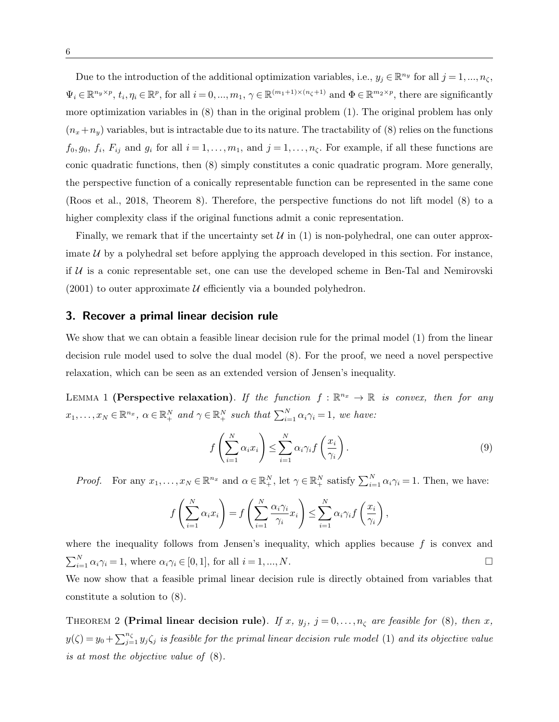Due to the introduction of the additional optimization variables, i.e.,  $y_j \in \mathbb{R}^{n_y}$  for all  $j = 1, ..., n_\zeta$ ,  $\Psi_i \in \mathbb{R}^{n_y \times p}$ ,  $t_i, \eta_i \in \mathbb{R}^p$ , for all  $i = 0, ..., m_1, \gamma \in \mathbb{R}^{(m_1 + 1) \times (n_\zeta + 1)}$  and  $\Phi \in \mathbb{R}^{m_2 \times p}$ , there are significantly more optimization variables in (8) than in the original problem (1). The original problem has only  $(n_x+n_y)$  variables, but is intractable due to its nature. The tractability of (8) relies on the functions  $f_0, g_0, f_i, F_{ij}$  and  $g_i$  for all  $i = 1, \ldots, m_1$ , and  $j = 1, \ldots, n_\zeta$ . For example, if all these functions are conic quadratic functions, then (8) simply constitutes a conic quadratic program. More generally, the perspective function of a conically representable function can be represented in the same cone (Roos et al., 2018, Theorem 8). Therefore, the perspective functions do not lift model (8) to a higher complexity class if the original functions admit a conic representation.

Finally, we remark that if the uncertainty set  $\mathcal{U}$  in (1) is non-polyhedral, one can outer approximate  $U$  by a polyhedral set before applying the approach developed in this section. For instance, if  $U$  is a conic representable set, one can use the developed scheme in Ben-Tal and Nemirovski  $(2001)$  to outer approximate U efficiently via a bounded polyhedron.

# 3. Recover a primal linear decision rule

We show that we can obtain a feasible linear decision rule for the primal model (1) from the linear decision rule model used to solve the dual model (8). For the proof, we need a novel perspective relaxation, which can be seen as an extended version of Jensen's inequality.

LEMMA 1 (Perspective relaxation). If the function  $f : \mathbb{R}^{n_x} \to \mathbb{R}$  is convex, then for any  $x_1, \ldots, x_N \in \mathbb{R}^{n_x}, \ \alpha \in \mathbb{R}^N_+ \ and \ \gamma \in \mathbb{R}^N_+ \ such \ that \ \sum_{i=1}^N \alpha_i \gamma_i = 1, \ we \ have:$ 

$$
f\left(\sum_{i=1}^{N} \alpha_i x_i\right) \le \sum_{i=1}^{N} \alpha_i \gamma_i f\left(\frac{x_i}{\gamma_i}\right). \tag{9}
$$

*Proof.* For any  $x_1, \ldots, x_N \in \mathbb{R}^{n_x}$  and  $\alpha \in \mathbb{R}^N_+$ , let  $\gamma \in \mathbb{R}^N_+$  satisfy  $\sum_{i=1}^N \alpha_i \gamma_i = 1$ . Then, we have:

$$
f\left(\sum_{i=1}^N \alpha_i x_i\right) = f\left(\sum_{i=1}^N \frac{\alpha_i \gamma_i}{\gamma_i} x_i\right) \le \sum_{i=1}^N \alpha_i \gamma_i f\left(\frac{x_i}{\gamma_i}\right),
$$

where the inequality follows from Jensen's inequality, which applies because  $f$  is convex and  $\sum_{i=1}^{N} \alpha_i \gamma_i = 1$ , where  $\alpha_i \gamma_i \in [0, 1]$ , for all  $i = 1, ..., N$ . We now show that a feasible primal linear decision rule is directly obtained from variables that constitute a solution to (8).

THEOREM 2 (Primal linear decision rule). If x,  $y_j$ ,  $j = 0, \ldots, n_\zeta$  are feasible for (8), then x,  $y(\zeta) = y_0 + \sum_{j=1}^{n_{\zeta}} y_j \zeta_j$  is feasible for the primal linear decision rule model (1) and its objective value is at most the objective value of (8).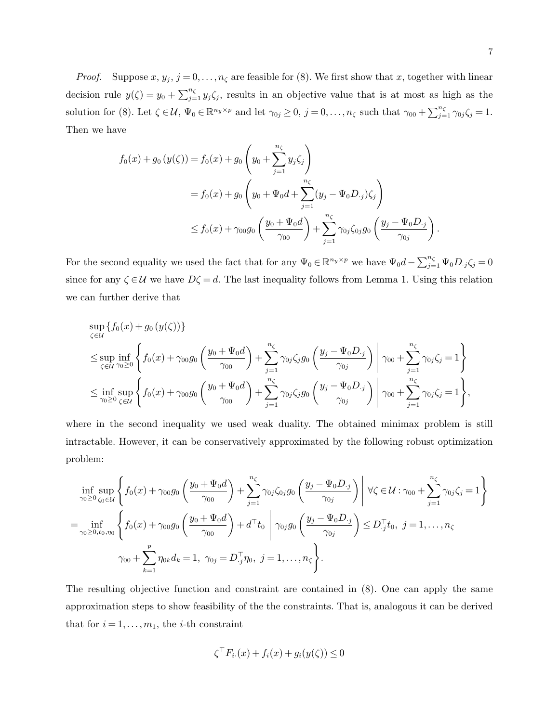*Proof.* Suppose  $x, y_j, j = 0, \ldots, n_\zeta$  are feasible for (8). We first show that x, together with linear decision rule  $y(\zeta) = y_0 + \sum_{j=1}^{n_{\zeta}} y_j \zeta_j$ , results in an objective value that is at most as high as the solution for (8). Let  $\zeta \in \mathcal{U}$ ,  $\Psi_0 \in \mathbb{R}^{n_y \times p}$  and let  $\gamma_{0j} \geq 0$ ,  $j = 0, \ldots, n_{\zeta}$  such that  $\gamma_{00} + \sum_{j=1}^{n_{\zeta}} \gamma_{0j} \zeta_j = 1$ . Then we have

$$
f_0(x) + g_0(y(\zeta)) = f_0(x) + g_0\left(y_0 + \sum_{j=1}^{n_{\zeta}} y_j \zeta_j\right)
$$
  
=  $f_0(x) + g_0\left(y_0 + \Psi_0 d + \sum_{j=1}^{n_{\zeta}} (y_j - \Psi_0 D_{\cdot j}) \zeta_j\right)$   
 $\leq f_0(x) + \gamma_{00} g_0\left(\frac{y_0 + \Psi_0 d}{\gamma_{00}}\right) + \sum_{j=1}^{n_{\zeta}} \gamma_{0j} \zeta_{0j} g_0\left(\frac{y_j - \Psi_0 D_{\cdot j}}{\gamma_{0j}}\right)$ 

For the second equality we used the fact that for any  $\Psi_0 \in \mathbb{R}^{n_y \times p}$  we have  $\Psi_0 d - \sum_{j=1}^{n_\zeta} \Psi_0 D_{\cdot j} \zeta_j = 0$ since for any  $\zeta \in \mathcal{U}$  we have  $D\zeta = d$ . The last inequality follows from Lemma 1. Using this relation we can further derive that

$$
\sup_{\zeta \in \mathcal{U}} \{f_0(x) + g_0(y(\zeta))\}
$$
\n
$$
\leq \sup_{\zeta \in \mathcal{U}} \inf_{\gamma_0 \geq 0} \left\{ f_0(x) + \gamma_0 g_0 \left( \frac{y_0 + \Psi_0 d}{\gamma_{00}} \right) + \sum_{j=1}^{n_{\zeta}} \gamma_{0j} \zeta_j g_0 \left( \frac{y_j - \Psi_0 D_j}{\gamma_{0j}} \right) \middle| \gamma_{00} + \sum_{j=1}^{n_{\zeta}} \gamma_{0j} \zeta_j = 1 \right\}
$$
\n
$$
\leq \inf_{\gamma_0 \geq 0} \sup_{\zeta \in \mathcal{U}} \left\{ f_0(x) + \gamma_0 g_0 \left( \frac{y_0 + \Psi_0 d}{\gamma_{00}} \right) + \sum_{j=1}^{n_{\zeta}} \gamma_{0j} \zeta_j g_0 \left( \frac{y_j - \Psi_0 D_j}{\gamma_{0j}} \right) \middle| \gamma_{00} + \sum_{j=1}^{n_{\zeta}} \gamma_{0j} \zeta_j = 1 \right\},
$$

where in the second inequality we used weak duality. The obtained minimax problem is still intractable. However, it can be conservatively approximated by the following robust optimization problem:

$$
\inf_{\gamma_0 \ge 0} \sup_{\zeta_0 \in \mathcal{U}} \left\{ f_0(x) + \gamma_{00} g_0 \left( \frac{y_0 + \Psi_0 d}{\gamma_{00}} \right) + \sum_{j=1}^{n_{\zeta}} \gamma_{0j} \zeta_{0j} g_0 \left( \frac{y_j - \Psi_0 D_{\cdot j}}{\gamma_{0j}} \right) \right| \forall \zeta \in \mathcal{U} : \gamma_{00} + \sum_{j=1}^{n_{\zeta}} \gamma_{0j} \zeta_j = 1
$$
\n
$$
= \inf_{\gamma_0 \ge 0, t_0, \eta_0} \left\{ f_0(x) + \gamma_{00} g_0 \left( \frac{y_0 + \Psi_0 d}{\gamma_{00}} \right) + d^\top t_0 \right| \gamma_{0j} g_0 \left( \frac{y_j - \Psi_0 D_{\cdot j}}{\gamma_{0j}} \right) \le D_{\cdot j}^\top t_0, \ j = 1, \dots, n_{\zeta}
$$
\n
$$
\gamma_{00} + \sum_{k=1}^p \eta_{0k} d_k = 1, \ \gamma_{0j} = D_{\cdot j}^\top \eta_0, \ j = 1, \dots, n_{\zeta}.
$$

The resulting objective function and constraint are contained in (8). One can apply the same approximation steps to show feasibility of the the constraints. That is, analogous it can be derived that for  $i = 1, \ldots, m_1$ , the *i*-th constraint

$$
\zeta^{\top} F_{i\cdot}(x) + f_i(x) + g_i(y(\zeta)) \le 0
$$

.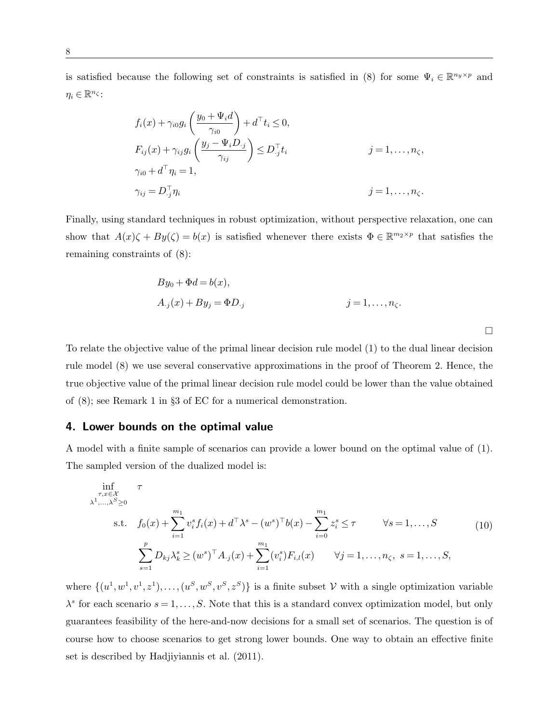is satisfied because the following set of constraints is satisfied in (8) for some  $\Psi_i \in \mathbb{R}^{n_y \times p}$  and  $\eta_i \in \mathbb{R}^{n_{\zeta}}$ :

$$
f_i(x) + \gamma_{i0} g_i \left( \frac{y_0 + \Psi_i d}{\gamma_{i0}} \right) + d^\top t_i \le 0,
$$
  
\n
$$
F_{ij}(x) + \gamma_{ij} g_i \left( \frac{y_j - \Psi_i D_{\cdot j}}{\gamma_{ij}} \right) \le D_{\cdot j}^\top t_i \qquad j = 1, ..., n_\zeta,
$$
  
\n
$$
\gamma_{i0} + d^\top \eta_i = 1,
$$
  
\n
$$
\gamma_{ij} = D_{\cdot j}^\top \eta_i \qquad j = 1, ..., n_\zeta.
$$

Finally, using standard techniques in robust optimization, without perspective relaxation, one can show that  $A(x)\zeta + By(\zeta) = b(x)$  is satisfied whenever there exists  $\Phi \in \mathbb{R}^{m_2 \times p}$  that satisfies the remaining constraints of (8):

$$
By_0 + \Phi d = b(x),
$$
  
\n
$$
A_{\cdot j}(x) + By_j = \Phi D_{\cdot j}
$$
  
\n
$$
j = 1, ..., n_{\zeta}.
$$

 $\Box$ 

To relate the objective value of the primal linear decision rule model (1) to the dual linear decision rule model (8) we use several conservative approximations in the proof of Theorem 2. Hence, the true objective value of the primal linear decision rule model could be lower than the value obtained of (8); see Remark 1 in §3 of EC for a numerical demonstration.

# 4. Lower bounds on the optimal value

A model with a finite sample of scenarios can provide a lower bound on the optimal value of (1). The sampled version of the dualized model is:

$$
\inf_{\substack{\tau, x \in \mathcal{X} \\ \lambda^1, \dots, \lambda^S \ge 0}} \tau
$$
\n
$$
\text{s.t.} \quad f_0(x) + \sum_{i=1}^{m_1} v_i^s f_i(x) + d^\top \lambda^s - (w^s)^\top b(x) - \sum_{i=0}^{m_1} z_i^s \le \tau \qquad \forall s = 1, \dots, S
$$
\n
$$
\sum_{s=1}^p D_{kj} \lambda_k^s \ge (w^s)^\top A_{\cdot j}(x) + \sum_{i=1}^{m_1} (v_i^s) F_{i,l}(x) \qquad \forall j = 1, \dots, n_\zeta, \ s = 1, \dots, S,
$$
\n
$$
(10)
$$

where  $\{(u^1, w^1, v^1, z^1), \ldots, (u^S, w^S, v^S, z^S)\}\$ is a finite subset V with a single optimization variable  $\lambda^s$  for each scenario  $s = 1, \ldots, S$ . Note that this is a standard convex optimization model, but only guarantees feasibility of the here-and-now decisions for a small set of scenarios. The question is of course how to choose scenarios to get strong lower bounds. One way to obtain an effective finite set is described by Hadjiyiannis et al. (2011).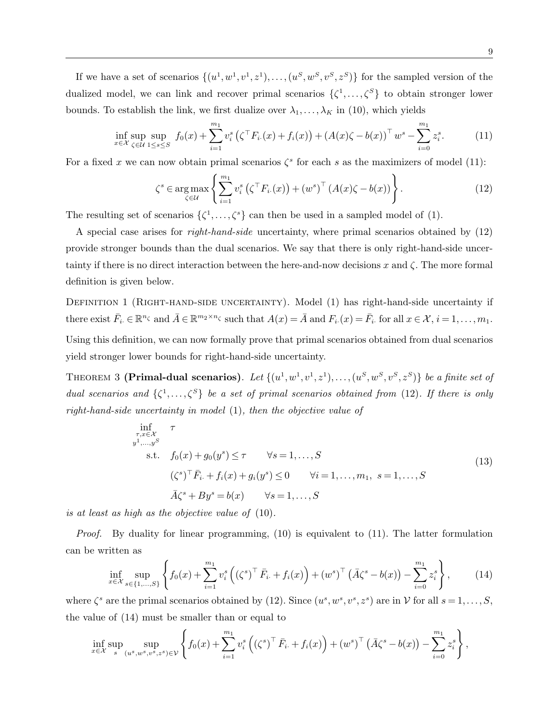If we have a set of scenarios  $\{(u^1, w^1, v^1, z^1), \ldots, (u^S, w^S, v^S, z^S)\}\)$  for the sampled version of the dualized model, we can link and recover primal scenarios  $\{\zeta^1,\ldots,\zeta^S\}$  to obtain stronger lower bounds. To establish the link, we first dualize over  $\lambda_1, \ldots, \lambda_K$  in (10), which yields

$$
\inf_{x \in \mathcal{X}} \sup_{\zeta \in \mathcal{U}} \sup_{1 \le s \le S} f_0(x) + \sum_{i=1}^{m_1} v_i^s \left( \zeta^\top F_{i\cdot}(x) + f_i(x) \right) + \left( A(x)\zeta - b(x) \right)^\top w^s - \sum_{i=0}^{m_1} z_i^s. \tag{11}
$$

For a fixed x we can now obtain primal scenarios  $\zeta^s$  for each s as the maximizers of model (11):

$$
\zeta^s \in \underset{\zeta \in \mathcal{U}}{\operatorname{arg\,max}} \left\{ \sum_{i=1}^{m_1} v_i^s \left( \zeta^\top F_{i\cdot}(x) \right) + \left( w^s \right)^\top \left( A(x) \zeta - b(x) \right) \right\}.
$$
 (12)

The resulting set of scenarios  $\{\zeta^1,\ldots,\zeta^s\}$  can then be used in a sampled model of (1).

A special case arises for right-hand-side uncertainty, where primal scenarios obtained by (12) provide stronger bounds than the dual scenarios. We say that there is only right-hand-side uncertainty if there is no direct interaction between the here-and-now decisions x and  $\zeta$ . The more formal definition is given below.

DEFINITION 1 (RIGHT-HAND-SIDE UNCERTAINTY). Model (1) has right-hand-side uncertainty if there exist  $\bar{F}_i \in \mathbb{R}^{n_{\zeta}}$  and  $\bar{A} \in \mathbb{R}^{m_2 \times n_{\zeta}}$  such that  $A(x) = \bar{A}$  and  $F_i(x) = \bar{F}_i$  for all  $x \in \mathcal{X}, i = 1, \ldots, m_1$ . Using this definition, we can now formally prove that primal scenarios obtained from dual scenarios yield stronger lower bounds for right-hand-side uncertainty.

THEOREM 3 (Primal-dual scenarios). Let  $\{(u^1, w^1, v^1, z^1), \ldots, (u^S, w^S, v^S, z^S)\}$  be a finite set of dual scenarios and  $\{\zeta^1,\ldots,\zeta^S\}$  be a set of primal scenarios obtained from (12). If there is only right-hand-side uncertainty in model (1), then the objective value of

$$
\inf_{\substack{\tau, x \in \mathcal{X} \\ y^1, \dots, y^S}} \tau
$$
\n
$$
\text{s.t.} \quad f_0(x) + g_0(y^s) \le \tau \qquad \forall s = 1, \dots, S
$$
\n
$$
(\zeta^s)^\top \bar{F}_i + f_i(x) + g_i(y^s) \le 0 \qquad \forall i = 1, \dots, m_1, \ s = 1, \dots, S
$$
\n
$$
\bar{A}\zeta^s + By^s = b(x) \qquad \forall s = 1, \dots, S
$$
\n(13)

is at least as high as the objective value of (10).

*Proof.* By duality for linear programming,  $(10)$  is equivalent to  $(11)$ . The latter formulation can be written as

$$
\inf_{x \in \mathcal{X}} \sup_{s \in \{1, ..., S\}} \left\{ f_0(x) + \sum_{i=1}^{m_1} v_i^s \left( \left( \zeta^s \right)^\top \bar{F}_{i\cdot} + f_i(x) \right) + \left( w^s \right)^\top \left( \bar{A} \zeta^s - b(x) \right) - \sum_{i=0}^{m_1} z_i^s \right\},\tag{14}
$$

where  $\zeta^s$  are the primal scenarios obtained by (12). Since  $(u^s, w^s, v^s, z^s)$  are in V for all  $s = 1, \ldots, S$ , the value of (14) must be smaller than or equal to

$$
\inf_{x \in \mathcal{X}} \sup_{s} \sup_{(u^s, w^s, v^s, z^s) \in \mathcal{V}} \left\{ f_0(x) + \sum_{i=1}^{m_1} v_i^s \left( (\zeta^s)^\top \bar{F}_{i\cdot} + f_i(x) \right) + (w^s)^\top \left( \bar{A} \zeta^s - b(x) \right) - \sum_{i=0}^{m_1} z_i^s \right\},\
$$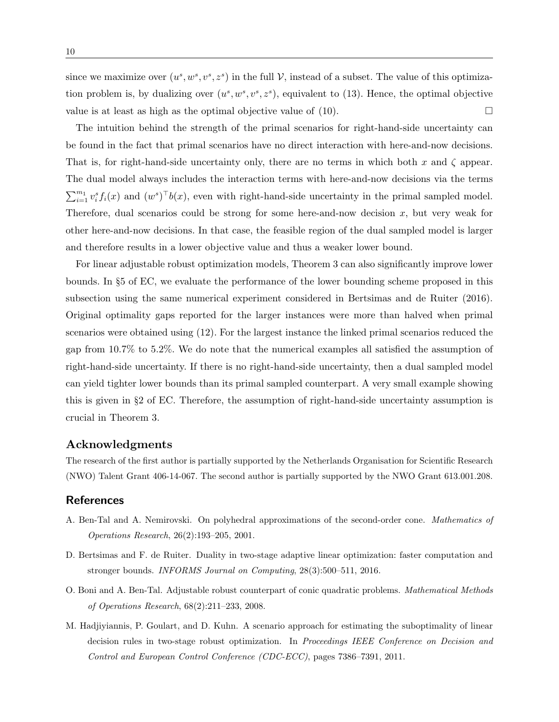since we maximize over  $(u^s, w^s, v^s, z^s)$  in the full V, instead of a subset. The value of this optimization problem is, by dualizing over  $(u^s, w^s, v^s, z^s)$ , equivalent to (13). Hence, the optimal objective value is at least as high as the optimal objective value of  $(10)$ .

The intuition behind the strength of the primal scenarios for right-hand-side uncertainty can be found in the fact that primal scenarios have no direct interaction with here-and-now decisions. That is, for right-hand-side uncertainty only, there are no terms in which both x and  $\zeta$  appear. The dual model always includes the interaction terms with here-and-now decisions via the terms  $\sum_{i=1}^{m_1} v_i^s f_i(x)$  and  $(w^s)^\top b(x)$ , even with right-hand-side uncertainty in the primal sampled model. Therefore, dual scenarios could be strong for some here-and-now decision  $x$ , but very weak for other here-and-now decisions. In that case, the feasible region of the dual sampled model is larger and therefore results in a lower objective value and thus a weaker lower bound.

For linear adjustable robust optimization models, Theorem 3 can also significantly improve lower bounds. In §5 of EC, we evaluate the performance of the lower bounding scheme proposed in this subsection using the same numerical experiment considered in Bertsimas and de Ruiter (2016). Original optimality gaps reported for the larger instances were more than halved when primal scenarios were obtained using (12). For the largest instance the linked primal scenarios reduced the gap from 10.7% to 5.2%. We do note that the numerical examples all satisfied the assumption of right-hand-side uncertainty. If there is no right-hand-side uncertainty, then a dual sampled model can yield tighter lower bounds than its primal sampled counterpart. A very small example showing this is given in §2 of EC. Therefore, the assumption of right-hand-side uncertainty assumption is crucial in Theorem 3.

## Acknowledgments

The research of the first author is partially supported by the Netherlands Organisation for Scientific Research (NWO) Talent Grant 406-14-067. The second author is partially supported by the NWO Grant 613.001.208.

## References

- A. Ben-Tal and A. Nemirovski. On polyhedral approximations of the second-order cone. Mathematics of Operations Research, 26(2):193–205, 2001.
- D. Bertsimas and F. de Ruiter. Duality in two-stage adaptive linear optimization: faster computation and stronger bounds. INFORMS Journal on Computing, 28(3):500-511, 2016.
- O. Boni and A. Ben-Tal. Adjustable robust counterpart of conic quadratic problems. Mathematical Methods of Operations Research, 68(2):211–233, 2008.
- M. Hadjiyiannis, P. Goulart, and D. Kuhn. A scenario approach for estimating the suboptimality of linear decision rules in two-stage robust optimization. In Proceedings IEEE Conference on Decision and Control and European Control Conference (CDC-ECC), pages 7386–7391, 2011.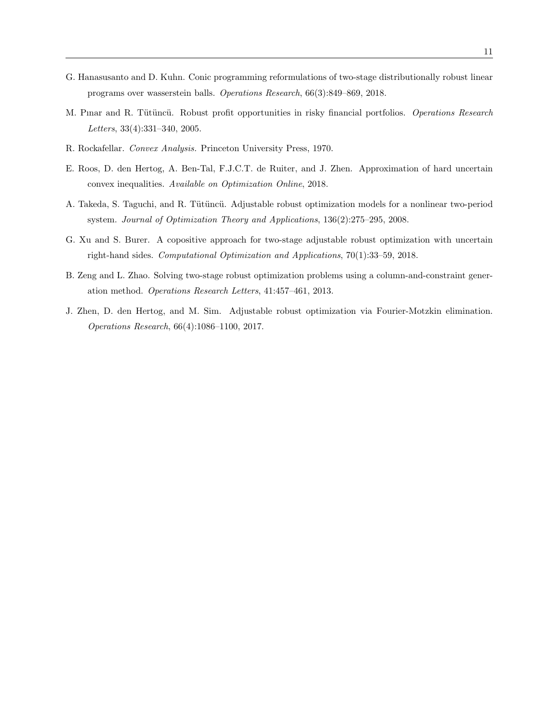- G. Hanasusanto and D. Kuhn. Conic programming reformulations of two-stage distributionally robust linear programs over wasserstein balls. Operations Research, 66(3):849–869, 2018.
- M. Pinar and R. Tütüncü. Robust profit opportunities in risky financial portfolios. Operations Research Letters, 33(4):331–340, 2005.
- R. Rockafellar. Convex Analysis. Princeton University Press, 1970.
- E. Roos, D. den Hertog, A. Ben-Tal, F.J.C.T. de Ruiter, and J. Zhen. Approximation of hard uncertain convex inequalities. Available on Optimization Online, 2018.
- A. Takeda, S. Taguchi, and R. Tütüncü. Adjustable robust optimization models for a nonlinear two-period system. Journal of Optimization Theory and Applications, 136(2):275–295, 2008.
- G. Xu and S. Burer. A copositive approach for two-stage adjustable robust optimization with uncertain right-hand sides. Computational Optimization and Applications, 70(1):33–59, 2018.
- B. Zeng and L. Zhao. Solving two-stage robust optimization problems using a column-and-constraint generation method. Operations Research Letters, 41:457–461, 2013.
- J. Zhen, D. den Hertog, and M. Sim. Adjustable robust optimization via Fourier-Motzkin elimination. Operations Research, 66(4):1086–1100, 2017.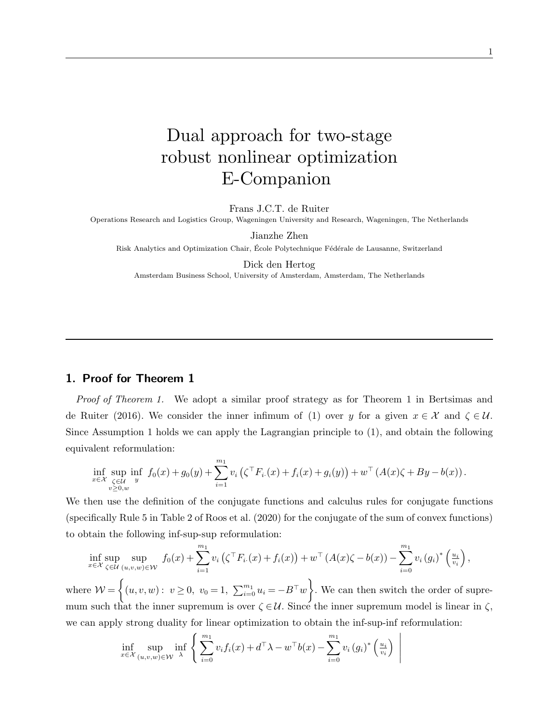# Dual approach for two-stage robust nonlinear optimization E-Companion

Frans J.C.T. de Ruiter

Operations Research and Logistics Group, Wageningen University and Research, Wageningen, The Netherlands

Jianzhe Zhen

Risk Analytics and Optimization Chair, École Polytechnique Fédérale de Lausanne, Switzerland

#### Dick den Hertog

Amsterdam Business School, University of Amsterdam, Amsterdam, The Netherlands

# 1. Proof for Theorem 1

*Proof of Theorem 1.* We adopt a similar proof strategy as for Theorem 1 in Bertsimas and de Ruiter (2016). We consider the inner infimum of (1) over y for a given  $x \in \mathcal{X}$  and  $\zeta \in \mathcal{U}$ . Since Assumption 1 holds we can apply the Lagrangian principle to (1), and obtain the following equivalent reformulation:

$$
\inf_{x \in \mathcal{X}} \sup_{\substack{\zeta \in \mathcal{U} \\ v \ge 0, w}} \inf_y f_0(x) + g_0(y) + \sum_{i=1}^{m_1} v_i \left( \zeta^{\top} F_{i \cdot}(x) + f_i(x) + g_i(y) \right) + w^{\top} \left( A(x) \zeta + By - b(x) \right).
$$

We then use the definition of the conjugate functions and calculus rules for conjugate functions (specifically Rule 5 in Table 2 of Roos et al. (2020) for the conjugate of the sum of convex functions) to obtain the following inf-sup-sup reformulation:

$$
\inf_{x \in \mathcal{X}} \sup_{\zeta \in \mathcal{U}} \sup_{(u,v,w) \in \mathcal{W}} f_0(x) + \sum_{i=1}^{m_1} v_i \left( \zeta^{\top} F_{i \cdot}(x) + f_i(x) \right) + w^{\top} \left( A(x) \zeta - b(x) \right) - \sum_{i=0}^{m_1} v_i \left( g_i \right)^* \left( \frac{u_i}{v_i} \right),
$$

where  $W = \left\{(u, v, w): v \ge 0, v_0 = 1, \sum_{i=0}^{m_1} u_i = -B^{\top} w\right\}$ . We can then switch the order of supremum such that the inner supremum is over  $\zeta \in \mathcal{U}$ . Since the inner supremum model is linear in  $\zeta$ , we can apply strong duality for linear optimization to obtain the inf-sup-inf reformulation:

> $\overline{\phantom{a}}$  $\mid$ I  $\mid$  $\mid$

$$
\inf_{x \in \mathcal{X}} \sup_{(u,v,w) \in \mathcal{W}} \inf_{\lambda} \left\{ \sum_{i=0}^{m_1} v_i f_i(x) + d^\top \lambda - w^\top b(x) - \sum_{i=0}^{m_1} v_i (g_i)^* \left( \frac{u_i}{v_i} \right) \right\}
$$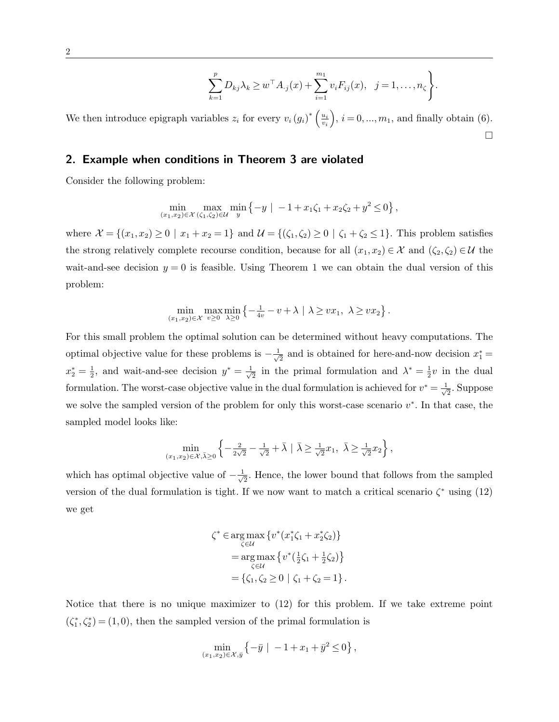$$
\sum_{k=1}^{p} D_{kj} \lambda_k \geq w^{\top} A_{\cdot j}(x) + \sum_{i=1}^{m_1} v_i F_{ij}(x), \ \ j = 1, \ldots, n_{\zeta} \bigg\}.
$$

We then introduce epigraph variables  $z_i$  for every  $v_i(g_i)^* \left(\frac{u_i}{v_i}\right)$ vi  $, i = 0, ..., m_1$ , and finally obtain (6).  $\Box$ 

# 2. Example when conditions in Theorem 3 are violated

Consider the following problem:

$$
\min_{(x_1,x_2)\in\mathcal{X}} \max_{(\zeta_1,\zeta_2)\in\mathcal{U}} \min_y \{-y \mid -1 + x_1\zeta_1 + x_2\zeta_2 + y^2 \le 0\},\,
$$

where  $\mathcal{X} = \{(x_1, x_2) \ge 0 \mid x_1 + x_2 = 1\}$  and  $\mathcal{U} = \{(\zeta_1, \zeta_2) \ge 0 \mid \zeta_1 + \zeta_2 \le 1\}$ . This problem satisfies the strong relatively complete recourse condition, because for all  $(x_1, x_2) \in \mathcal{X}$  and  $(\zeta_2, \zeta_2) \in \mathcal{U}$  the wait-and-see decision  $y = 0$  is feasible. Using Theorem 1 we can obtain the dual version of this problem:

$$
\min_{(x_1,x_2)\in\mathcal{X}}\max_{v\geq 0}\min_{\lambda\geq 0}\left\{-\frac{1}{4v}-v+\lambda\ |\ \lambda\geq vx_1,\ \lambda\geq vx_2\right\}.
$$

For this small problem the optimal solution can be determined without heavy computations. The optimal objective value for these problems is  $-\frac{1}{\sqrt{2}}$  $\frac{1}{2}$  and is obtained for here-and-now decision  $x_1^* =$  $x_2^* = \frac{1}{2}$  $\frac{1}{2}$ , and wait-and-see decision  $y^* = \frac{1}{\sqrt{2}}$  $\frac{1}{2}$  in the primal formulation and  $\lambda^* = \frac{1}{2}$  $\frac{1}{2}v$  in the dual formulation. The worst-case objective value in the dual formulation is achieved for  $v^* = \frac{1}{\sqrt{2}}$  $\frac{1}{2}$ . Suppose we solve the sampled version of the problem for only this worst-case scenario  $v^*$ . In that case, the sampled model looks like:

$$
\min_{(x_1, x_2) \in \mathcal{X}, \bar{\lambda} \ge 0} \left\{ -\frac{2}{2\sqrt{2}} - \frac{1}{\sqrt{2}} + \bar{\lambda} \mid \bar{\lambda} \ge \frac{1}{\sqrt{2}} x_1, \ \bar{\lambda} \ge \frac{1}{\sqrt{2}} x_2 \right\},\
$$

which has optimal objective value of  $-\frac{1}{4}$  $\frac{1}{2}$ . Hence, the lower bound that follows from the sampled version of the dual formulation is tight. If we now want to match a critical scenario  $\zeta^*$  using (12) we get

$$
\zeta^* \in \operatorname*{arg\,max}_{\zeta \in U} \{ v^*(x_1^*\zeta_1 + x_2^*\zeta_2) \}
$$
  
= 
$$
\operatorname*{arg\,max}_{\zeta \in U} \{ v^*(\frac{1}{2}\zeta_1 + \frac{1}{2}\zeta_2) \}
$$
  
= 
$$
\{\zeta_1, \zeta_2 \ge 0 \mid \zeta_1 + \zeta_2 = 1 \}.
$$

Notice that there is no unique maximizer to (12) for this problem. If we take extreme point  $(\zeta_1^*, \zeta_2^*)$  = (1,0), then the sampled version of the primal formulation is

$$
\min_{(x_1,x_2)\in\mathcal{X},\bar{y}} \left\{-\bar{y} \mid -1 + x_1 + \bar{y}^2 \le 0\right\},\,
$$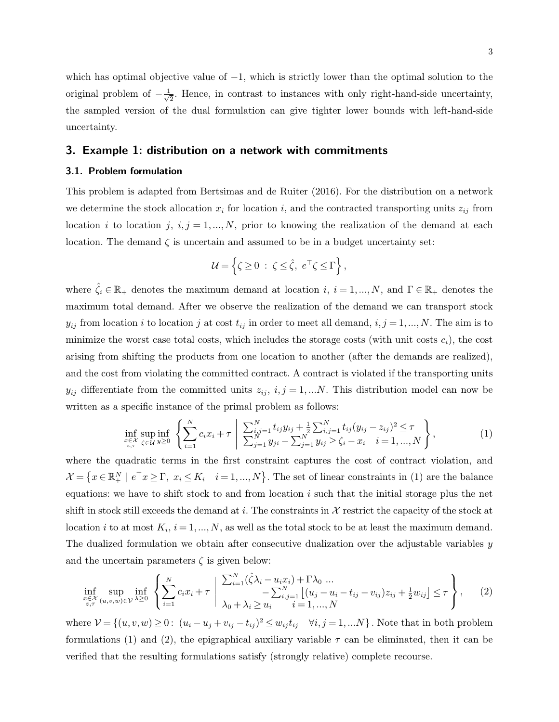which has optimal objective value of  $-1$ , which is strictly lower than the optimal solution to the original problem of  $-\frac{1}{\sqrt{2}}$  $\frac{1}{2}$ . Hence, in contrast to instances with only right-hand-side uncertainty, the sampled version of the dual formulation can give tighter lower bounds with left-hand-side uncertainty.

# 3. Example 1: distribution on a network with commitments

## 3.1. Problem formulation

This problem is adapted from Bertsimas and de Ruiter (2016). For the distribution on a network we determine the stock allocation  $x_i$  for location i, and the contracted transporting units  $z_{ij}$  from location i to location j,  $i, j = 1,...,N$ , prior to knowing the realization of the demand at each location. The demand  $\zeta$  is uncertain and assumed to be in a budget uncertainty set:

$$
\mathcal{U} = \left\{ \zeta \ge 0 \; : \; \zeta \le \hat{\zeta}, \; e^{\top} \zeta \le \Gamma \right\},\
$$

where  $\hat{\zeta}_i \in \mathbb{R}_+$  denotes the maximum demand at location  $i, i = 1,...,N$ , and  $\Gamma \in \mathbb{R}_+$  denotes the maximum total demand. After we observe the realization of the demand we can transport stock  $y_{ij}$  from location i to location j at cost  $t_{ij}$  in order to meet all demand,  $i, j = 1, ..., N$ . The aim is to minimize the worst case total costs, which includes the storage costs (with unit costs  $c_i$ ), the cost arising from shifting the products from one location to another (after the demands are realized), and the cost from violating the committed contract. A contract is violated if the transporting units  $y_{ij}$  differentiate from the committed units  $z_{ij}$ ,  $i, j = 1,...N$ . This distribution model can now be written as a specific instance of the primal problem as follows:

$$
\inf_{\substack{x \in \mathcal{X} \\ z, \tau}} \sup_{\zeta \in \mathcal{U}} \inf_{y \ge 0} \left\{ \sum_{i=1}^N c_i x_i + \tau \mid \frac{\sum_{i,j=1}^N t_{ij} y_{ij} + \frac{1}{2} \sum_{i,j=1}^N t_{ij} (y_{ij} - z_{ij})^2 \le \tau}{\sum_{j=1}^N y_{ji} - \sum_{j=1}^N y_{ij} \ge \zeta_i - x_i} \right\},
$$
\n(1)

where the quadratic terms in the first constraint captures the cost of contract violation, and  $\mathcal{X} = \left\{ x \in \mathbb{R}^N_+ \mid e^\top x \ge \Gamma, \ x_i \le K_i \quad i = 1, ..., N \right\}.$  The set of linear constraints in (1) are the balance equations: we have to shift stock to and from location  $i$  such that the initial storage plus the net shift in stock still exceeds the demand at i. The constraints in  $\mathcal X$  restrict the capacity of the stock at location *i* to at most  $K_i$ ,  $i = 1, ..., N$ , as well as the total stock to be at least the maximum demand. The dualized formulation we obtain after consecutive dualization over the adjustable variables y and the uncertain parameters  $\zeta$  is given below:

$$
\inf_{\substack{x \in \mathcal{X} \\ z, \tau}} \sup_{(u,v,w) \in \mathcal{V}} \inf_{\lambda \ge 0} \left\{ \sum_{i=1}^{N} c_i x_i + \tau \mid \frac{\sum_{i=1}^{N} (\hat{\zeta} \lambda_i - u_i x_i) + \Gamma \lambda_0 \dots}{-\sum_{i,j=1}^{N} \left[ (u_j - u_i - t_{ij} - v_{ij}) z_{ij} + \frac{1}{2} w_{ij} \right] \le \tau \right\}, \tag{2}
$$

where  $V = \{(u, v, w) \geq 0: (u_i - u_j + v_{ij} - t_{ij})^2 \leq w_{ij}t_{ij} \quad \forall i, j = 1, ...N\}$ . Note that in both problem formulations (1) and (2), the epigraphical auxiliary variable  $\tau$  can be eliminated, then it can be verified that the resulting formulations satisfy (strongly relative) complete recourse.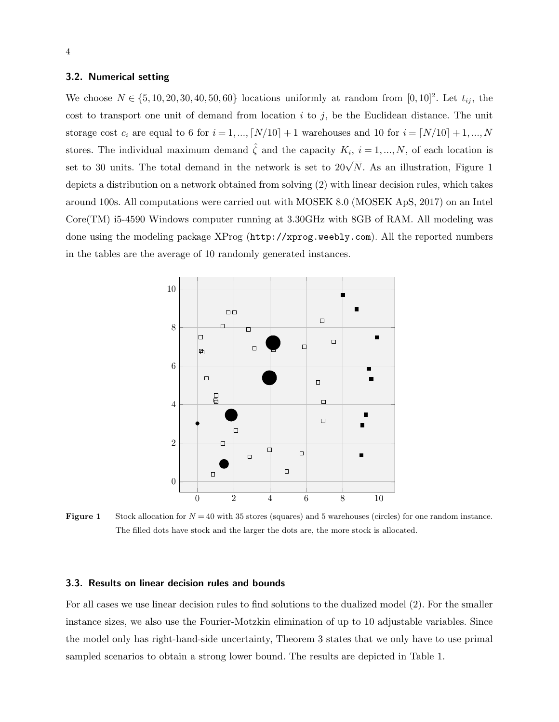## 3.2. Numerical setting

We choose  $N \in \{5, 10, 20, 30, 40, 50, 60\}$  locations uniformly at random from  $[0, 10]^2$ . Let  $t_{ij}$ , the cost to transport one unit of demand from location  $i$  to  $j$ , be the Euclidean distance. The unit storage cost  $c_i$  are equal to 6 for  $i = 1, ..., [N/10] + 1$  warehouses and 10 for  $i = [N/10] + 1, ..., N$ stores. The individual maximum demand  $\hat{\zeta}$  and the capacity  $K_i$ ,  $i = 1, ..., N$ , of each location is set to 30 units. The total demand in the network is set to  $20\sqrt{N}$ . As an illustration, Figure 1 depicts a distribution on a network obtained from solving (2) with linear decision rules, which takes around 100s. All computations were carried out with MOSEK 8.0 (MOSEK ApS, 2017) on an Intel Core(TM) i5-4590 Windows computer running at 3.30GHz with 8GB of RAM. All modeling was done using the modeling package XProg (http://xprog.weebly.com). All the reported numbers in the tables are the average of 10 randomly generated instances.



**Figure 1** Stock allocation for  $N = 40$  with 35 stores (squares) and 5 warehouses (circles) for one random instance. The filled dots have stock and the larger the dots are, the more stock is allocated.

### 3.3. Results on linear decision rules and bounds

For all cases we use linear decision rules to find solutions to the dualized model (2). For the smaller instance sizes, we also use the Fourier-Motzkin elimination of up to 10 adjustable variables. Since the model only has right-hand-side uncertainty, Theorem 3 states that we only have to use primal sampled scenarios to obtain a strong lower bound. The results are depicted in Table 1.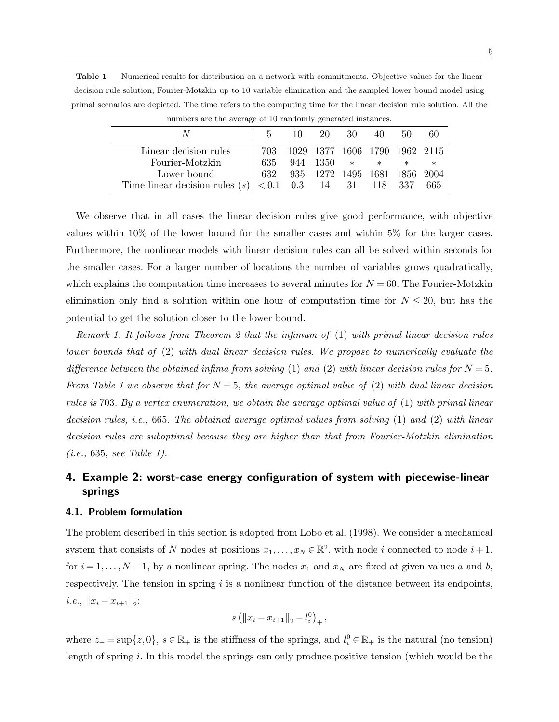Table 1 Numerical results for distribution on a network with commitments. Objective values for the linear decision rule solution, Fourier-Motzkin up to 10 variable elimination and the sampled lower bound model using primal scenarios are depicted. The time refers to the computing time for the linear decision rule solution. All the

|                                                            |        | 10 20 30 40                   |  | 50 | -60 |
|------------------------------------------------------------|--------|-------------------------------|--|----|-----|
| Linear decision rules                                      | 703    | 1029 1377 1606 1790 1962 2115 |  |    |     |
| Fourier-Motzkin                                            | $-635$ | 944 1350 $*$ * * *            |  |    |     |
| Lower bound                                                |        |                               |  |    |     |
| Time linear decision rules (s) $ $ < 0.1 0.3 14 31 118 337 |        |                               |  |    | 665 |

numbers are the average of 10 randomly generated instances.

We observe that in all cases the linear decision rules give good performance, with objective values within 10% of the lower bound for the smaller cases and within 5% for the larger cases. Furthermore, the nonlinear models with linear decision rules can all be solved within seconds for the smaller cases. For a larger number of locations the number of variables grows quadratically, which explains the computation time increases to several minutes for  $N = 60$ . The Fourier-Motzkin elimination only find a solution within one hour of computation time for  $N \leq 20$ , but has the potential to get the solution closer to the lower bound.

Remark 1. It follows from Theorem 2 that the infimum of (1) with primal linear decision rules lower bounds that of (2) with dual linear decision rules. We propose to numerically evaluate the difference between the obtained infima from solving (1) and (2) with linear decision rules for  $N = 5$ . From Table 1 we observe that for  $N = 5$ , the average optimal value of (2) with dual linear decision rules is 703. By a vertex enumeration, we obtain the average optimal value of (1) with primal linear decision rules, *i.e.*, 665. The obtained average optimal values from solving (1) and (2) with linear decision rules are suboptimal because they are higher than that from Fourier-Motzkin elimination (i.e., 635, see Table 1).

# 4. Example 2: worst-case energy configuration of system with piecewise-linear springs

#### 4.1. Problem formulation

The problem described in this section is adopted from Lobo et al. (1998). We consider a mechanical system that consists of N nodes at positions  $x_1, \ldots, x_N \in \mathbb{R}^2$ , with node i connected to node  $i + 1$ , for  $i = 1, \ldots, N-1$ , by a nonlinear spring. The nodes  $x_1$  and  $x_N$  are fixed at given values a and b, respectively. The tension in spring  $i$  is a nonlinear function of the distance between its endpoints, *i.e.*,  $||x_i - x_{i+1}||_2$ :

$$
s\left(\|x_i - x_{i+1}\|_2 - l_i^0\right)_+,
$$

where  $z_+ = \sup\{z, 0\}$ ,  $s \in \mathbb{R}_+$  is the stiffness of the springs, and  $l_i^0 \in \mathbb{R}_+$  is the natural (no tension) length of spring i. In this model the springs can only produce positive tension (which would be the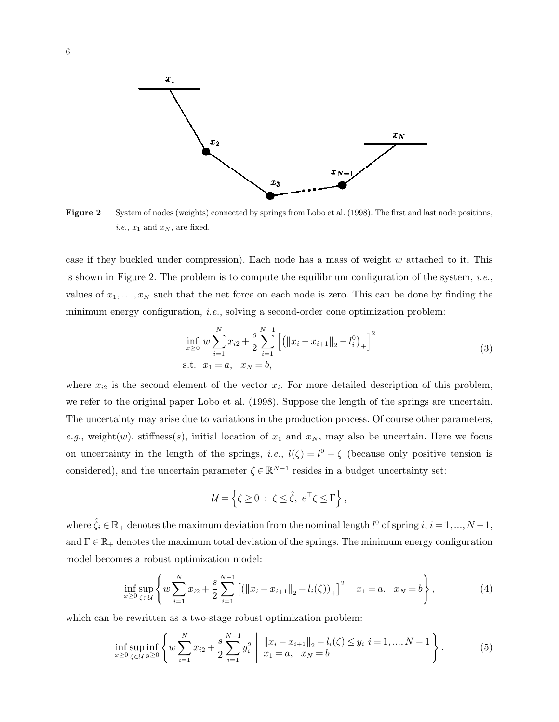

Figure 2 System of nodes (weights) connected by springs from Lobo et al. (1998). The first and last node positions, *i.e.*,  $x_1$  and  $x_N$ , are fixed.

case if they buckled under compression). Each node has a mass of weight  $w$  attached to it. This is shown in Figure 2. The problem is to compute the equilibrium configuration of the system, *i.e.*, values of  $x_1, \ldots, x_N$  such that the net force on each node is zero. This can be done by finding the minimum energy configuration, *i.e.*, solving a second-order cone optimization problem:

$$
\inf_{x\geq 0} w \sum_{i=1}^{N} x_{i2} + \frac{s}{2} \sum_{i=1}^{N-1} \left[ \left( \|x_i - x_{i+1}\|_2 - l_i^0 \right)_+ \right]^2
$$
\n
$$
\text{s.t.} \quad x_1 = a, \quad x_N = b,
$$
\n
$$
(3)
$$

where  $x_{i2}$  is the second element of the vector  $x_i$ . For more detailed description of this problem, we refer to the original paper Lobo et al. (1998). Suppose the length of the springs are uncertain. The uncertainty may arise due to variations in the production process. Of course other parameters, e.g., weight(w), stiffness(s), initial location of  $x_1$  and  $x_N$ , may also be uncertain. Here we focus on uncertainty in the length of the springs, *i.e.*,  $l(\zeta) = l^0 - \zeta$  (because only positive tension is considered), and the uncertain parameter  $\zeta \in \mathbb{R}^{N-1}$  resides in a budget uncertainty set:

$$
\mathcal{U} = \left\{ \zeta \ge 0 \; : \; \zeta \le \hat{\zeta}, \; e^{\top} \zeta \le \Gamma \right\},\
$$

where  $\hat{\zeta}_i \in \mathbb{R}_+$  denotes the maximum deviation from the nominal length  $l^0$  of spring  $i, i = 1, ..., N-1$ , and  $\Gamma \in \mathbb{R}_+$  denotes the maximum total deviation of the springs. The minimum energy configuration model becomes a robust optimization model:

$$
\inf_{x\geq 0}\sup_{\zeta\in\mathcal{U}}\left\{w\sum_{i=1}^N x_{i2} + \frac{s}{2}\sum_{i=1}^{N-1}\left[\left(\|x_i - x_{i+1}\|_2 - l_i(\zeta)\right)_+\right]^2 \; \middle| \; x_1 = a, \; x_N = b\right\},\tag{4}
$$

which can be rewritten as a two-stage robust optimization problem:

$$
\inf_{x\geq 0} \sup_{\zeta \in \mathcal{U}} \inf_{y\geq 0} \left\{ w \sum_{i=1}^N x_{i2} + \frac{s}{2} \sum_{i=1}^{N-1} y_i^2 \mid \left\| x_i - x_{i+1} \right\|_2 - l_i(\zeta) \leq y_i \ i = 1, ..., N-1 \right\}.
$$
 (5)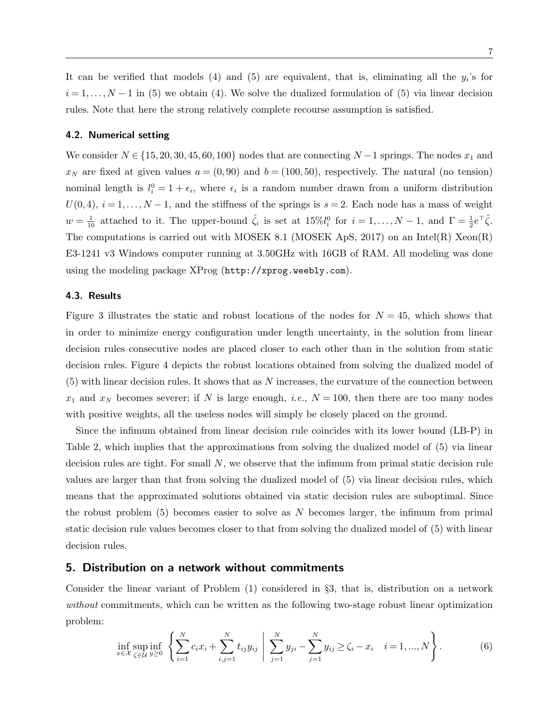It can be verified that models  $(4)$  and  $(5)$  are equivalent, that is, eliminating all the  $y_i$ 's for  $i = 1, \ldots, N - 1$  in (5) we obtain (4). We solve the dualized formulation of (5) via linear decision rules. Note that here the strong relatively complete recourse assumption is satisfied.

### 4.2. Numerical setting

We consider  $N \in \{15, 20, 30, 45, 60, 100\}$  nodes that are connecting  $N-1$  springs. The nodes  $x_1$  and  $x_N$  are fixed at given values  $a = (0, 90)$  and  $b = (100, 50)$ , respectively. The natural (no tension) nominal length is  $l_i^0 = 1 + \epsilon_i$ , where  $\epsilon_i$  is a random number drawn from a uniform distribution  $U(0, 4), i = 1, \ldots, N-1$ , and the stiffness of the springs is  $s = 2$ . Each node has a mass of weight  $w = \frac{1}{10}$  attached to it. The upper-bound  $\hat{\zeta}_i$  is set at  $15\%l_i^0$  for  $i = 1, ..., N - 1$ , and  $\Gamma = \frac{1}{2}e^{\top}\hat{\zeta}$ . The computations is carried out with MOSEK 8.1 (MOSEK ApS, 2017) on an Intel(R) Xeon(R) E3-1241 v3 Windows computer running at 3.50GHz with 16GB of RAM. All modeling was done using the modeling package XProg (http://xprog.weebly.com).

## 4.3. Results

Figure 3 illustrates the static and robust locations of the nodes for  $N = 45$ , which shows that in order to minimize energy configuration under length uncertainty, in the solution from linear decision rules consecutive nodes are placed closer to each other than in the solution from static decision rules. Figure 4 depicts the robust locations obtained from solving the dualized model of  $(5)$  with linear decision rules. It shows that as N increases, the curvature of the connection between  $x_1$  and  $x_N$  becomes severer; if N is large enough, *i.e.*,  $N = 100$ , then there are too many nodes with positive weights, all the useless nodes will simply be closely placed on the ground.

Since the infimum obtained from linear decision rule coincides with its lower bound (LB-P) in Table 2, which implies that the approximations from solving the dualized model of (5) via linear decision rules are tight. For small  $N$ , we observe that the infimum from primal static decision rule values are larger than that from solving the dualized model of (5) via linear decision rules, which means that the approximated solutions obtained via static decision rules are suboptimal. Since the robust problem  $(5)$  becomes easier to solve as N becomes larger, the infimum from primal static decision rule values becomes closer to that from solving the dualized model of (5) with linear decision rules.

## 5. Distribution on a network without commitments

Consider the linear variant of Problem (1) considered in §3, that is, distribution on a network without commitments, which can be written as the following two-stage robust linear optimization problem:

$$
\inf_{x \in \mathcal{X}} \sup_{\zeta \in \mathcal{U}} \inf_{y \ge 0} \left\{ \sum_{i=1}^N c_i x_i + \sum_{i,j=1}^N t_{ij} y_{ij} \; \middle| \; \sum_{j=1}^N y_{ji} - \sum_{j=1}^N y_{ij} \ge \zeta_i - x_i \quad i = 1, ..., N \right\}.
$$
 (6)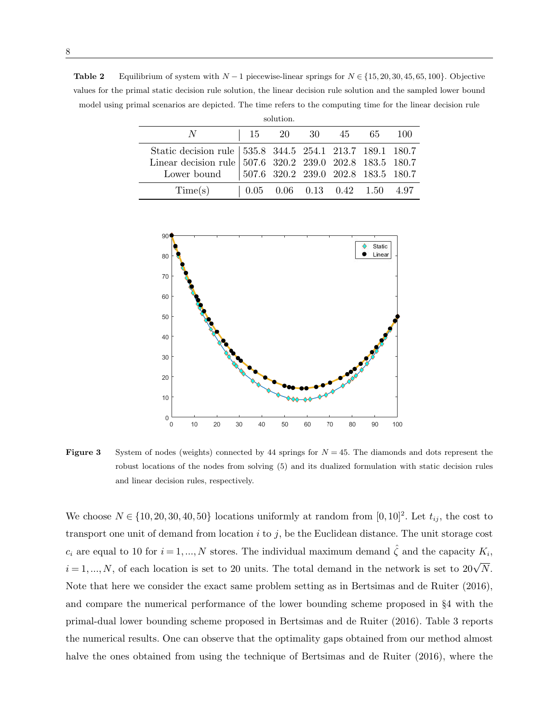Table 2 Equilibrium of system with  $N-1$  piecewise-linear springs for  $N \in \{15, 20, 30, 45, 65, 100\}$ . Objective values for the primal static decision rule solution, the linear decision rule solution and the sampled lower bound model using primal scenarios are depicted. The time refers to the computing time for the linear decision rule

| solution.                                                                                                                                                                                                                                                |                                                                     |  |  |  |  |  |  |
|----------------------------------------------------------------------------------------------------------------------------------------------------------------------------------------------------------------------------------------------------------|---------------------------------------------------------------------|--|--|--|--|--|--|
|                                                                                                                                                                                                                                                          | 15 20 30 45 65 100                                                  |  |  |  |  |  |  |
| $\begin{tabular}{l cccccc} Static decision rule & 535.8 & 344.5 & 254.1 & 213.7 & 189.1 & 180.7 \\ Linear decision rule & 507.6 & 320.2 & 239.0 & 202.8 & 183.5 & 180.7 \\ Lower bound & 507.6 & 320.2 & 239.0 & 202.8 & 183.5 & 180.7 \\ \end{tabular}$ |                                                                     |  |  |  |  |  |  |
| Time(s)                                                                                                                                                                                                                                                  | $\vert 0.05 \quad 0.06 \quad 0.13 \quad 0.42 \quad 1.50 \quad 4.97$ |  |  |  |  |  |  |



**Figure 3** System of nodes (weights) connected by 44 springs for  $N = 45$ . The diamonds and dots represent the robust locations of the nodes from solving (5) and its dualized formulation with static decision rules and linear decision rules, respectively.

We choose  $N \in \{10, 20, 30, 40, 50\}$  locations uniformly at random from  $[0, 10]^2$ . Let  $t_{ij}$ , the cost to transport one unit of demand from location  $i$  to  $j$ , be the Euclidean distance. The unit storage cost  $c_i$  are equal to 10 for  $i = 1, ..., N$  stores. The individual maximum demand  $\hat{\zeta}$  and the capacity  $K_i$ ,  $i = 1, ..., N$ , of each location is set to 20 units. The total demand in the network is set to  $20\sqrt{N}$ . Note that here we consider the exact same problem setting as in Bertsimas and de Ruiter (2016), and compare the numerical performance of the lower bounding scheme proposed in §4 with the primal-dual lower bounding scheme proposed in Bertsimas and de Ruiter (2016). Table 3 reports the numerical results. One can observe that the optimality gaps obtained from our method almost halve the ones obtained from using the technique of Bertsimas and de Ruiter (2016), where the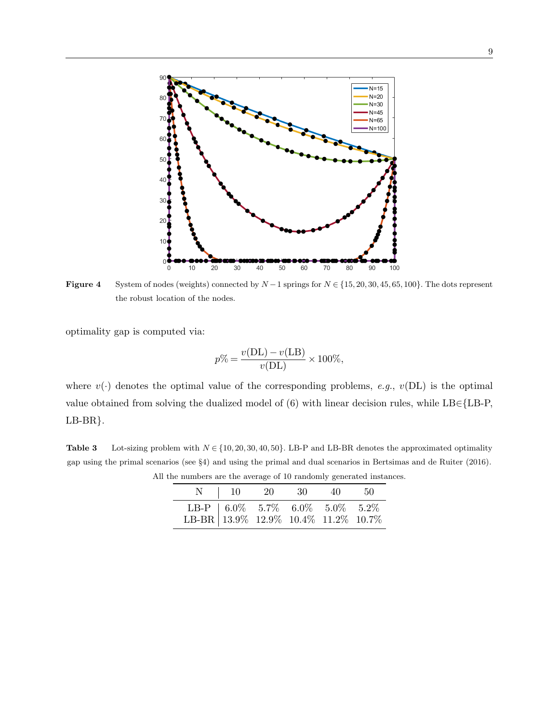

**Figure 4** System of nodes (weights) connected by  $N-1$  springs for  $N \in \{15, 20, 30, 45, 65, 100\}$ . The dots represent the robust location of the nodes.

optimality gap is computed via:

$$
p\% = \frac{v(\text{DL}) - v(\text{LB})}{v(\text{DL})} \times 100\%,
$$

where  $v(\cdot)$  denotes the optimal value of the corresponding problems, e.g.,  $v(DL)$  is the optimal value obtained from solving the dualized model of (6) with linear decision rules, while LB∈{LB-P, LB-BR}.

Table 3 Lot-sizing problem with  $N \in \{10, 20, 30, 40, 50\}$ . LB-P and LB-BR denotes the approximated optimality gap using the primal scenarios (see §4) and using the primal and dual scenarios in Bertsimas and de Ruiter (2016). All the numbers are the average of 10 randomly generated instances.

|                                                                                                                                                                                                       | N   10 20 30 40 50 |  |  |
|-------------------------------------------------------------------------------------------------------------------------------------------------------------------------------------------------------|--------------------|--|--|
| $\begin{tabular}{c cccccc} \multicolumn{1}{c}{\text{LB-P}} & 6.0\% & 5.7\% & 6.0\% & 5.0\% & 5.2\% \\ \multicolumn{1}{c}{\text{LB-BR}} & 13.9\% & 12.9\% & 10.4\% & 11.2\% & 10.7\% \\ \end{tabular}$ |                    |  |  |